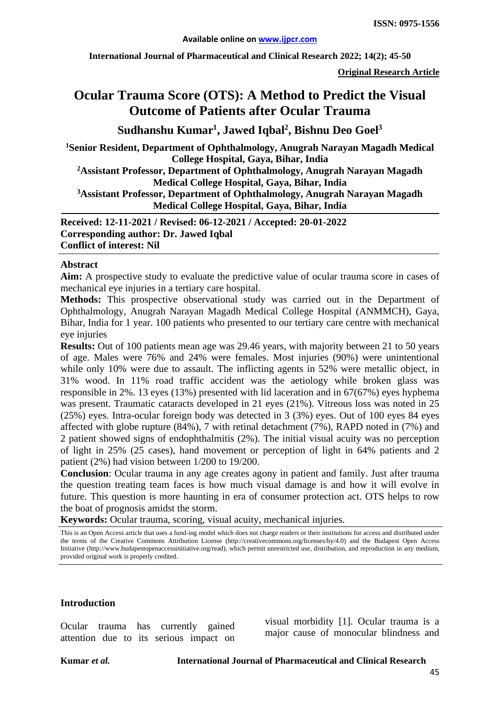**International Journal of Pharmaceutical and Clinical Research 2022; 14(2); 45-50**

**Original Research Article**

# **Ocular Trauma Score (OTS): A Method to Predict the Visual Outcome of Patients after Ocular Trauma**

**Sudhanshu Kumar1 , Jawed Iqbal2 , Bishnu Deo Goel3**

**1Senior Resident, Department of Ophthalmology, Anugrah Narayan Magadh Medical College Hospital, Gaya, Bihar, India**

**2 Assistant Professor, Department of Ophthalmology, Anugrah Narayan Magadh Medical College Hospital, Gaya, Bihar, India**

**3 Assistant Professor, Department of Ophthalmology, Anugrah Narayan Magadh Medical College Hospital, Gaya, Bihar, India**

**Received: 12-11-2021 / Revised: 06-12-2021 / Accepted: 20-01-2022 Corresponding author: Dr. Jawed Iqbal Conflict of interest: Nil**

#### **Abstract**

**Aim:** A prospective study to evaluate the predictive value of ocular trauma score in cases of mechanical eye injuries in a tertiary care hospital.

**Methods:** This prospective observational study was carried out in the Department of Ophthalmology, Anugrah Narayan Magadh Medical College Hospital (ANMMCH), Gaya, Bihar, India for 1 year. 100 patients who presented to our tertiary care centre with mechanical eye injuries

**Results:** Out of 100 patients mean age was 29.46 years, with majority between 21 to 50 years of age. Males were 76% and 24% were females. Most injuries (90%) were unintentional while only 10% were due to assault. The inflicting agents in 52% were metallic object, in 31% wood. In 11% road traffic accident was the aetiology while broken glass was responsible in 2%. 13 eyes (13%) presented with lid laceration and in 67(67%) eyes hyphema was present. Traumatic cataracts developed in 21 eyes (21%). Vitreous loss was noted in 25 (25%) eyes. Intra-ocular foreign body was detected in 3 (3%) eyes. Out of 100 eyes 84 eyes affected with globe rupture (84%), 7 with retinal detachment (7%), RAPD noted in (7%) and 2 patient showed signs of endophthalmitis (2%). The initial visual acuity was no perception of light in 25% (25 cases), hand movement or perception of light in 64% patients and 2 patient (2%) had vision between 1/200 to 19/200.

**Conclusion**: Ocular trauma in any age creates agony in patient and family. Just after trauma the question treating team faces is how much visual damage is and how it will evolve in future. This question is more haunting in era of consumer protection act. OTS helps to row the boat of prognosis amidst the storm.

**Keywords:** Ocular trauma, scoring, visual acuity, mechanical injuries.

#### **Introduction**

Ocular trauma has currently gained attention due to its serious impact on visual morbidity [1]. Ocular trauma is a major cause of monocular blindness and

This is an Open Access article that uses a fund-ing model which does not charge readers or their institutions for access and distributed under the terms of the Creative Commons Attribution License (http://creativecommons.org/licenses/by/4.0) and the Budapest Open Access Initiative (http://www.budapestopenaccessinitiative.org/read), which permit unrestricted use, distribution, and reproduction in any medium, provided original work is properly credited.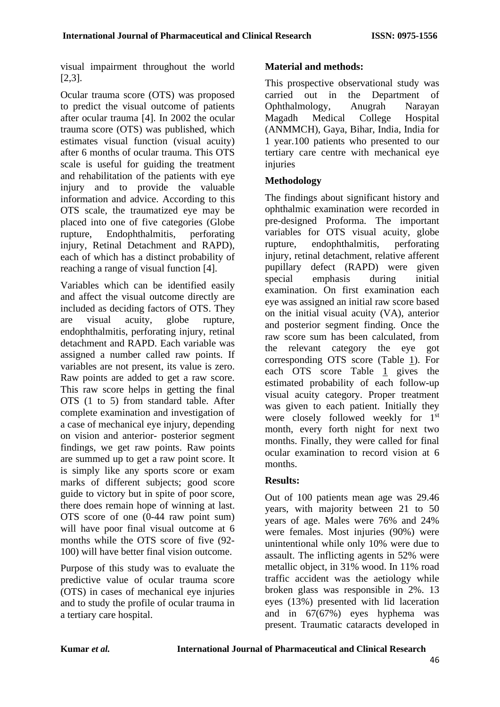visual impairment throughout the world [2,3].

Ocular trauma score (OTS) was proposed to predict the visual outcome of patients after ocular trauma [4]. In 2002 the ocular trauma score (OTS) was published, which estimates visual function (visual acuity) after 6 months of ocular trauma. This OTS scale is useful for guiding the treatment and rehabilitation of the patients with eye injury and to provide the valuable information and advice. According to this OTS scale, the traumatized eye may be placed into one of five categories (Globe rupture, Endophthalmitis, perforating injury, Retinal Detachment and RAPD), each of which has a distinct probability of reaching a range of visual function [4].

Variables which can be identified easily and affect the visual outcome directly are included as deciding factors of OTS. They are visual acuity, globe rupture, endophthalmitis, perforating injury, retinal detachment and RAPD. Each variable was assigned a number called raw points. If variables are not present, its value is zero. Raw points are added to get a raw score. This raw score helps in getting the final OTS (1 to 5) from standard table. After complete examination and investigation of a case of mechanical eye injury, depending on vision and anterior- posterior segment findings, we get raw points. Raw points are summed up to get a raw point score. It is simply like any sports score or exam marks of different subjects; good score guide to victory but in spite of poor score, there does remain hope of winning at last. OTS score of one (0-44 raw point sum) will have poor final visual outcome at 6 months while the OTS score of five (92- 100) will have better final vision outcome.

Purpose of this study was to evaluate the predictive value of ocular trauma score (OTS) in cases of mechanical eye injuries and to study the profile of ocular trauma in a tertiary care hospital.

# **Material and methods:**

This prospective observational study was carried out in the Department of Ophthalmology, Anugrah Narayan Magadh Medical College Hospital (ANMMCH), Gaya, Bihar, India, India for 1 year.100 patients who presented to our tertiary care centre with mechanical eye injuries

# **Methodology**

The findings about significant history and ophthalmic examination were recorded in pre-designed Proforma. The important variables for OTS visual acuity, globe rupture, endophthalmitis, perforating injury, retinal detachment, relative afferent pupillary defect (RAPD) were given special emphasis during initial examination. On first examination each eye was assigned an initial raw score based on the initial visual acuity (VA), anterior and posterior segment finding. Once the raw score sum has been calculated, from the relevant category the eye got corresponding OTS score (Table 1). For each OTS score Table 1 gives the estimated probability of each follow-up visual acuity category. Proper treatment was given to each patient. Initially they were closely followed weekly for 1<sup>st</sup> month, every forth night for next two months. Finally, they were called for final ocular examination to record vision at 6 months.

# **Results:**

Out of 100 patients mean age was 29.46 years, with majority between 21 to 50 years of age. Males were 76% and 24% were females. Most injuries (90%) were unintentional while only 10% were due to assault. The inflicting agents in 52% were metallic object, in 31% wood. In 11% road traffic accident was the aetiology while broken glass was responsible in 2%. 13 eyes (13%) presented with lid laceration and in 67(67%) eyes hyphema was present. Traumatic cataracts developed in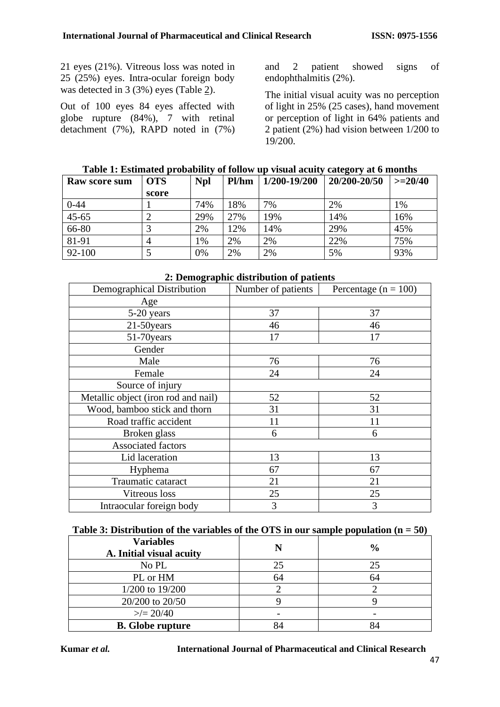21 eyes (21%). Vitreous loss was noted in 25 (25%) eyes. Intra-ocular foreign body was detected in 3 (3%) eyes (Table 2).

Out of 100 eyes 84 eyes affected with globe rupture (84%), 7 with retinal detachment (7%), RAPD noted in (7%) and 2 patient showed signs of endophthalmitis (2%).

The initial visual acuity was no perception of light in 25% (25 cases), hand movement or perception of light in 64% patients and 2 patient (2%) had vision between 1/200 to 19/200.

| Table 1: Estimated probability of follow up visual acuity category at 6 months |  |  |  |
|--------------------------------------------------------------------------------|--|--|--|
|                                                                                |  |  |  |

| Raw score sum | <b>OTS</b> | <b>Npl</b> | Pl/hm | 1/200-19/200 | 20/200-20/50 | $>=20/40$ |
|---------------|------------|------------|-------|--------------|--------------|-----------|
|               | score      |            |       |              |              |           |
| $0 - 44$      |            | 74%        | 18%   | 7%           | 2%           | 1%        |
| $45 - 65$     |            | 29%        | 27%   | 19%          | 14%          | 16%       |
| 66-80         |            | 2%         | 12%   | 14%          | 29%          | 45%       |
| 81-91         |            | 1%         | 2%    | 2%           | 22%          | 75%       |
| 92-100        |            | 0%         | 2%    | 2%           | 5%           | 93%       |

| 2. Demographie uistribution or patients |                    |                          |  |  |  |
|-----------------------------------------|--------------------|--------------------------|--|--|--|
| Demographical Distribution              | Number of patients | Percentage ( $n = 100$ ) |  |  |  |
| Age                                     |                    |                          |  |  |  |
| 5-20 years                              | 37                 | 37                       |  |  |  |
| 21-50years                              | 46                 | 46                       |  |  |  |
| 51-70 years                             | 17                 | 17                       |  |  |  |
| Gender                                  |                    |                          |  |  |  |
| Male                                    | 76                 | 76                       |  |  |  |
| Female                                  | 24                 | 24                       |  |  |  |
| Source of injury                        |                    |                          |  |  |  |
| Metallic object (iron rod and nail)     | 52                 | 52                       |  |  |  |
| Wood, bamboo stick and thorn            | 31                 | 31                       |  |  |  |
| Road traffic accident                   | 11                 | 11                       |  |  |  |
| Broken glass                            | 6                  | 6                        |  |  |  |
| Associated factors                      |                    |                          |  |  |  |
| Lid laceration                          | 13                 | 13                       |  |  |  |
| Hyphema                                 | 67                 | 67                       |  |  |  |
| Traumatic cataract                      | 21                 | 21                       |  |  |  |
| Vitreous loss                           | 25                 | 25                       |  |  |  |
| Intraocular foreign body                | 3                  | 3                        |  |  |  |

#### **2: Demographic distribution of patients**

### **Table 3: Distribution of the variables of the OTS in our sample population (n = 50)**

| <b>Variables</b><br>A. Initial visual acuity |    | $\frac{6}{9}$ |
|----------------------------------------------|----|---------------|
| No PL                                        | 25 | 25            |
| PL or HM                                     | 64 | 64            |
| 1/200 to 19/200                              |    |               |
| 20/200 to 20/50                              |    |               |
| $\geq$ = 20/40                               |    |               |
| <b>B.</b> Globe rupture                      |    |               |

**Kumar** *et al.* **International Journal of Pharmaceutical and Clinical Research**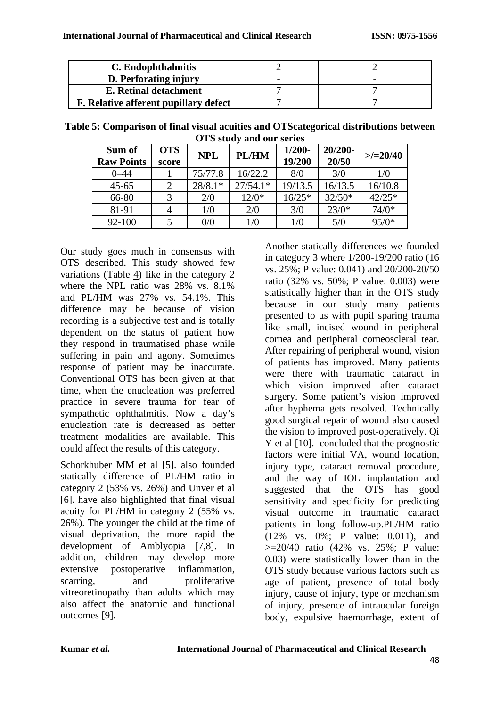| C. Endophthalmitis                    |  |
|---------------------------------------|--|
| D. Perforating injury                 |  |
| E. Retinal detachment                 |  |
| F. Relative afferent pupillary defect |  |

**Table 5: Comparison of final visual acuities and OTScategorical distributions between OTS study and our series**

| Sum of<br><b>Raw Points</b> | <b>OTS</b><br>score | <b>NPL</b> | PL/HM      | $1/200 -$<br>19/200 | $20/200 -$<br>20/50 | $>\!\!>=\!\!20/40$ |
|-----------------------------|---------------------|------------|------------|---------------------|---------------------|--------------------|
| $0 - 44$                    |                     | 75/77.8    | 16/22.2    | 8/0                 | 3/0                 | 1/0                |
| $45 - 65$                   | っ                   | $28/8.1*$  | $27/54.1*$ | 19/13.5             | 16/13.5             | 16/10.8            |
| 66-80                       | 3                   | 2/0        | $12/0*$    | $16/25*$            | $32/50*$            | $42/25*$           |
| 81-91                       |                     | 1/0        | 2/0        | 3/0                 | $23/0*$             | $74/0*$            |
| 92-100                      |                     | 0/0        | 1/0        | 1/0                 | 5/0                 | 95/0*              |

Our study goes much in consensus with OTS described. This study showed few variations (Table 4) like in the category 2 where the NPL ratio was 28% vs. 8.1% and PL/HM was 27% vs. 54.1%. This difference may be because of vision recording is a subjective test and is totally dependent on the status of patient how they respond in traumatised phase while suffering in pain and agony. Sometimes response of patient may be inaccurate. Conventional OTS has been given at that time, when the enucleation was preferred practice in severe trauma for fear of sympathetic ophthalmitis. Now a day's enucleation rate is decreased as better treatment modalities are available. This could affect the results of this category.

Schorkhuber MM et al [5]. also founded statically difference of PL/HM ratio in category 2 (53% vs. 26%) and Unver et al [6]. have also highlighted that final visual acuity for PL/HM in category 2 (55% vs. 26%). The younger the child at the time of visual deprivation, the more rapid the development of Amblyopia [7,8]. In addition, children may develop more extensive postoperative inflammation, scarring, and proliferative vitreoretinopathy than adults which may also affect the anatomic and functional outcomes [9].

Another statically differences we founded in category 3 where 1/200-19/200 ratio (16 vs. 25%; P value: 0.041) and 20/200-20/50 ratio (32% vs. 50%; P value: 0.003) were statistically higher than in the OTS study because in our study many patients presented to us with pupil sparing trauma like small, incised wound in peripheral cornea and peripheral corneoscleral tear. After repairing of peripheral wound, vision of patients has improved. Many patients were there with traumatic cataract in which vision improved after cataract surgery. Some patient's vision improved after hyphema gets resolved. Technically good surgical repair of wound also caused the vision to improved post-operatively. Qi Y et al [10]. [c](#page-5-0)oncluded that the prognostic factors were initial VA, wound location, injury type, cataract removal procedure, and the way of IOL implantation and suggested that the OTS has good sensitivity and specificity for predicting visual outcome in traumatic cataract patients in long follow-up.PL/HM ratio (12% vs. 0%; P value: 0.011), and  $>=20/40$  ratio (42% vs. 25%; P value: 0.03) were statistically lower than in the OTS study because various factors such as age of patient, presence of total body injury, cause of injury, type or mechanism of injury, presence of intraocular foreign body, expulsive haemorrhage, extent of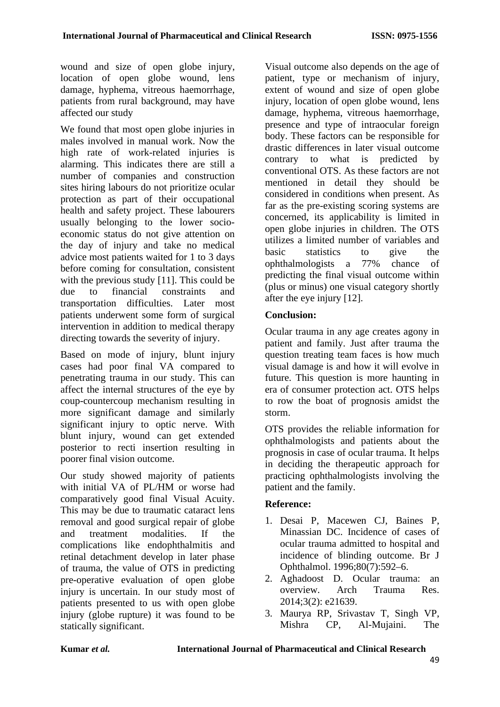wound and size of open globe injury, location of open globe wound, lens damage, hyphema, vitreous haemorrhage, patients from rural background, may have affected our study

We found that most open globe injuries in males involved in manual work. Now the high rate of work-related injuries is alarming. This indicates there are still a number of companies and construction sites hiring labours do not prioritize ocular protection as part of their occupational health and safety project. These labourers usually belonging to the lower socioeconomic status do not give attention on the day of injury and take no medical advice most patients waited for 1 to 3 days before coming for consultation, consistent with the previous study [11]. This could be due to financial constraints and transportation difficulties. Later most patients underwent some form of surgical intervention in addition to medical therapy directing towards the severity of injury.

Based on mode of injury, blunt injury cases had poor final VA compared to penetrating trauma in our study. This can affect the internal structures of the eye by coup-countercoup mechanism resulting in more significant damage and similarly significant injury to optic nerve. With blunt injury, wound can get extended posterior to recti insertion resulting in poorer final vision outcome.

Our study showed majority of patients with initial VA of PL/HM or worse had comparatively good final Visual Acuity. This may be due to traumatic cataract lens removal and good surgical repair of globe and treatment modalities. If the complications like endophthalmitis and retinal detachment develop in later phase of trauma, the value of OTS in predicting pre-operative evaluation of open globe injury is uncertain. In our study most of patients presented to us with open globe injury (globe rupture) it was found to be statically significant.

Visual outcome also depends on the age of patient, type or mechanism of injury, extent of wound and size of open globe injury, location of open globe wound, lens damage, hyphema, vitreous haemorrhage, presence and type of intraocular foreign body. These factors can be responsible for drastic differences in later visual outcome contrary to what is predicted by conventional OTS. As these factors are not mentioned in detail they should be considered in conditions when present. As far as the pre-existing scoring systems are concerned, its applicability is limited in open globe injuries in children. The OTS utilizes a limited number of variables and basic statistics to give the ophthalmologists a 77% chance of predicting the final visual outcome within (plus or minus) one visual category shortly after the eye injury [12].

# **Conclusion:**

Ocular trauma in any age creates agony in patient and family. Just after trauma the question treating team faces is how much visual damage is and how it will evolve in future. This question is more haunting in era of consumer protection act. OTS helps to row the boat of prognosis amidst the storm.

OTS provides the reliable information for ophthalmologists and patients about the prognosis in case of ocular trauma. It helps in deciding the therapeutic approach for practicing ophthalmologists involving the patient and the family.

### **Reference:**

- 1. Desai P, Macewen CJ, Baines P, Minassian DC. Incidence of cases of ocular trauma admitted to hospital and incidence of blinding outcome. Br J Ophthalmol. 1996;80(7):592–6.
- 2. Aghadoost D. Ocular trauma: an overview. Arch Trauma Res. 2014;3(2): e21639.
- 3. Maurya RP, Srivastav T, Singh VP, Mishra CP, Al-Mujaini. The

49